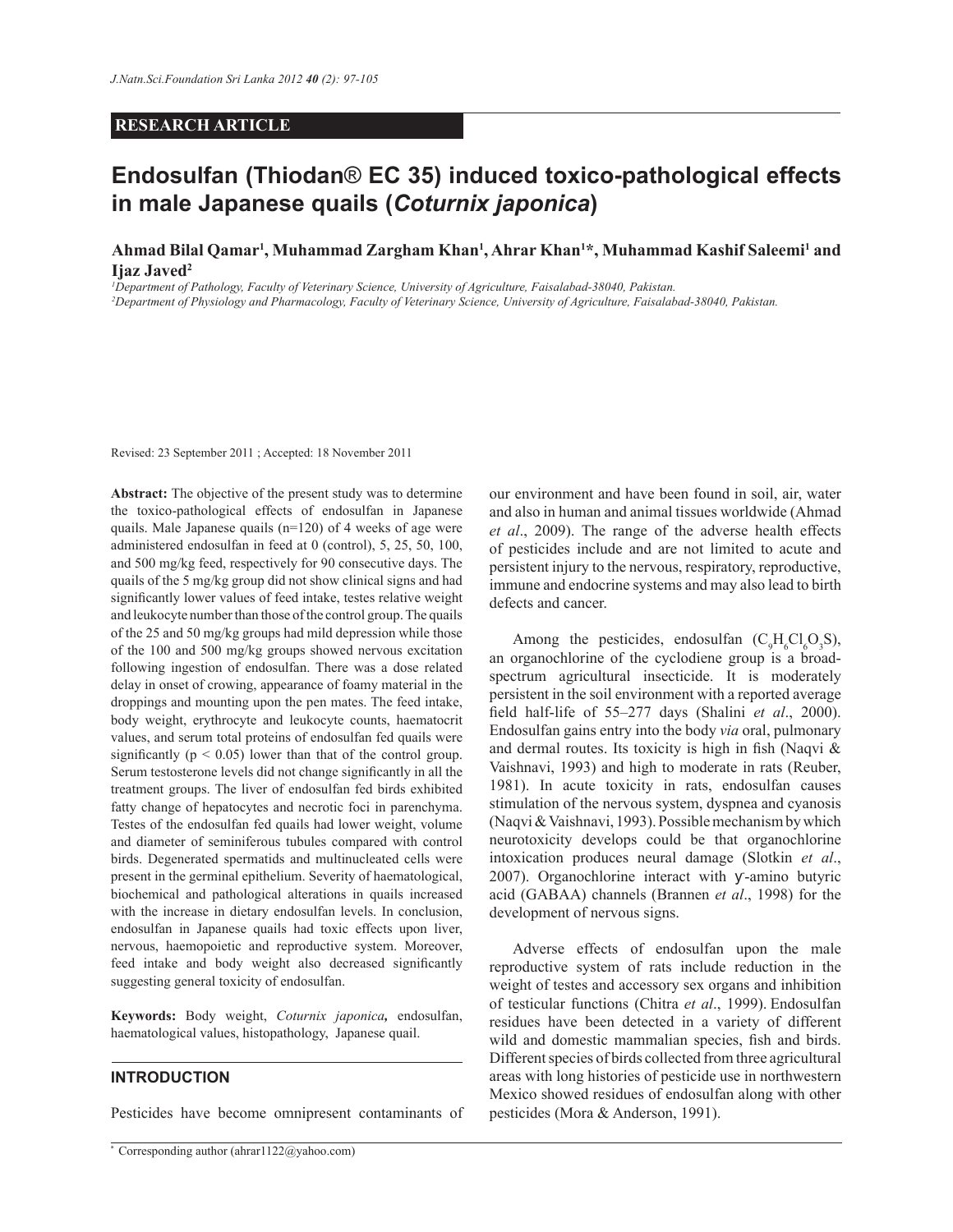## **RESEARCH ARTICLE**

# **Endosulfan (Thiodan**® **EC 35) induced toxico-pathological effects in male Japanese quails (***Coturnix japonica***)**

**Ahmad Bilal Qamar<sup>1</sup> , Muhammad Zargham Khan<sup>1</sup> , Ahrar Khan<sup>1</sup>\*, Muhammad Kashif Saleemi<sup>1</sup> and Ijaz Javed<sup>2</sup>**

*<sup>1</sup>Department of Pathology, Faculty of Veterinary Science, University of Agriculture, Faisalabad-38040, Pakistan. <sup>2</sup>Department of Physiology and Pharmacology, Faculty of Veterinary Science, University of Agriculture, Faisalabad-38040, Pakistan.*

Revised: 23 September 2011 ; Accepted: 18 November 2011

**Abstract:** The objective of the present study was to determine the toxico-pathological effects of endosulfan in Japanese quails. Male Japanese quails (n=120) of 4 weeks of age were administered endosulfan in feed at 0 (control), 5, 25, 50, 100, and 500 mg/kg feed, respectively for 90 consecutive days. The quails of the 5 mg/kg group did not show clinical signs and had significantly lower values of feed intake, testes relative weight and leukocyte number than those of the control group. The quails of the 25 and 50 mg/kg groups had mild depression while those of the 100 and 500 mg/kg groups showed nervous excitation following ingestion of endosulfan. There was a dose related delay in onset of crowing, appearance of foamy material in the droppings and mounting upon the pen mates. The feed intake, body weight, erythrocyte and leukocyte counts, haematocrit values, and serum total proteins of endosulfan fed quails were significantly ( $p < 0.05$ ) lower than that of the control group. Serum testosterone levels did not change significantly in all the treatment groups. The liver of endosulfan fed birds exhibited fatty change of hepatocytes and necrotic foci in parenchyma. Testes of the endosulfan fed quails had lower weight, volume and diameter of seminiferous tubules compared with control birds. Degenerated spermatids and multinucleated cells were present in the germinal epithelium. Severity of haematological, biochemical and pathological alterations in quails increased with the increase in dietary endosulfan levels. In conclusion, endosulfan in Japanese quails had toxic effects upon liver, nervous, haemopoietic and reproductive system. Moreover, feed intake and body weight also decreased significantly suggesting general toxicity of endosulfan.

**Keywords:** Body weight, *Coturnix japonica,* endosulfan, haematological values, histopathology, Japanese quail.

# **INTRODUCTION**

Pesticides have become omnipresent contaminants of

our environment and have been found in soil, air, water and also in human and animal tissues worldwide (Ahmad *et al*., 2009). The range of the adverse health effects of pesticides include and are not limited to acute and persistent injury to the nervous, respiratory, reproductive, immune and endocrine systems and may also lead to birth defects and cancer.

Among the pesticides, endosulfan  $(C_9H_6Cl_6O_3S)$ , an organochlorine of the cyclodiene group is a broadspectrum agricultural insecticide. It is moderately persistent in the soil environment with a reported average field half-life of 55–277 days (Shalini *et al*., 2000). Endosulfan gains entry into the body *via* oral, pulmonary and dermal routes. Its toxicity is high in fish (Naqvi & Vaishnavi, 1993) and high to moderate in rats (Reuber, 1981). In acute toxicity in rats, endosulfan causes stimulation of the nervous system, dyspnea and cyanosis (Naqvi & Vaishnavi, 1993). Possible mechanism by which neurotoxicity develops could be that organochlorine intoxication produces neural damage (Slotkin *et al*., 2007). Organochlorine interact with y-amino butyric acid (GABAA) channels (Brannen *et al*., 1998) for the development of nervous signs.

 Adverse effects of endosulfan upon the male reproductive system of rats include reduction in the weight of testes and accessory sex organs and inhibition of testicular functions (Chitra *et al*., 1999). Endosulfan residues have been detected in a variety of different wild and domestic mammalian species, fish and birds. Different species of birds collected from three agricultural areas with long histories of pesticide use in northwestern Mexico showed residues of endosulfan along with other pesticides (Mora & Anderson, 1991).

<sup>\*</sup> Corresponding author (ahrar1122@yahoo.com)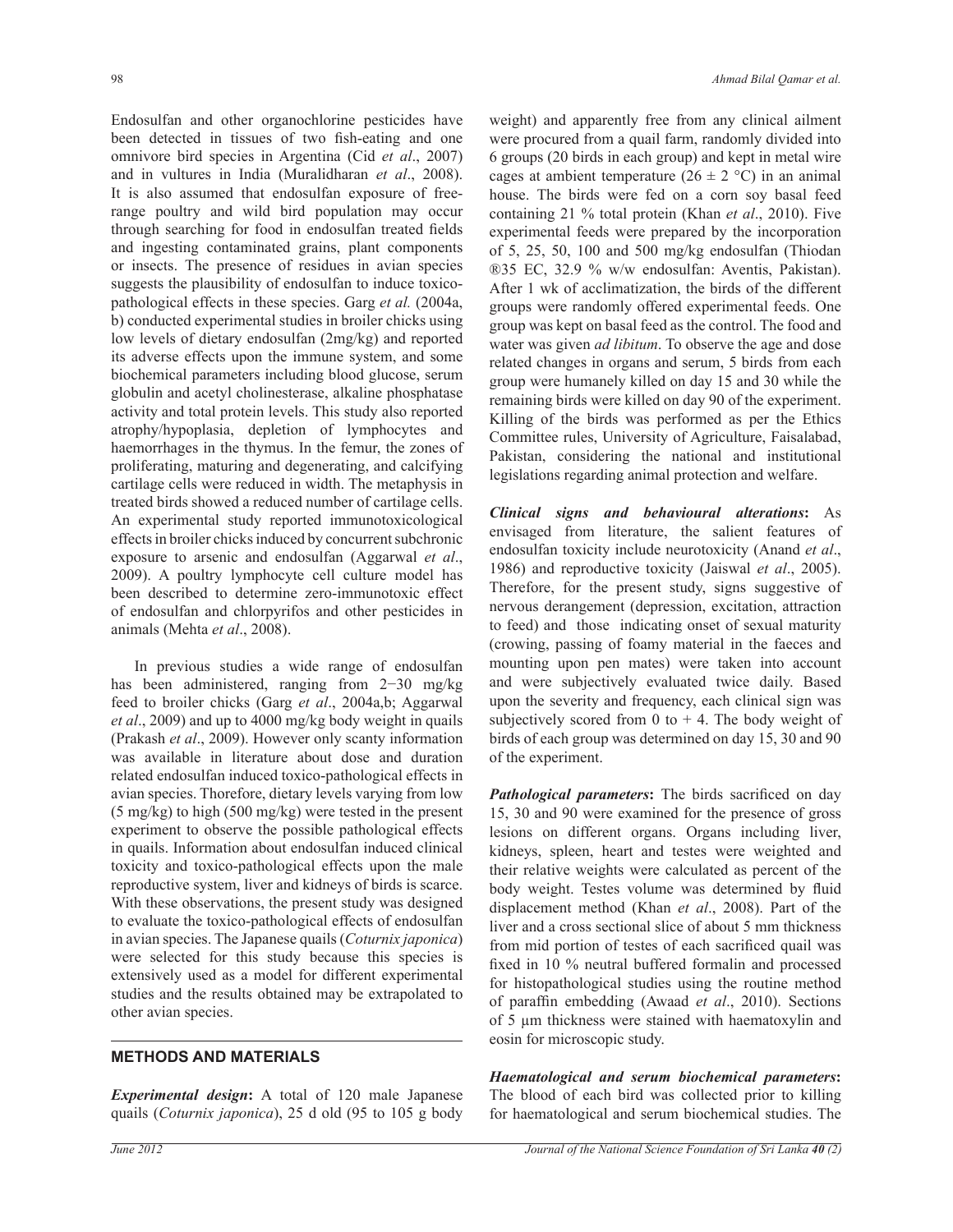Endosulfan and other organochlorine pesticides have been detected in tissues of two fish-eating and one omnivore bird species in Argentina (Cid *et al*., 2007) and in vultures in India (Muralidharan *et al*., 2008). It is also assumed that endosulfan exposure of freerange poultry and wild bird population may occur through searching for food in endosulfan treated fields and ingesting contaminated grains, plant components or insects. The presence of residues in avian species suggests the plausibility of endosulfan to induce toxicopathological effects in these species. Garg *et al.* (2004a, b) conducted experimental studies in broiler chicks using low levels of dietary endosulfan (2mg/kg) and reported its adverse effects upon the immune system, and some biochemical parameters including blood glucose, serum globulin and acetyl cholinesterase, alkaline phosphatase activity and total protein levels. This study also reported atrophy/hypoplasia, depletion of lymphocytes and haemorrhages in the thymus. In the femur, the zones of proliferating, maturing and degenerating, and calcifying cartilage cells were reduced in width. The metaphysis in treated birds showed a reduced number of cartilage cells. An experimental study reported immunotoxicological effects in broiler chicks induced by concurrent subchronic exposure to arsenic and endosulfan (Aggarwal *et al*., 2009). A poultry lymphocyte cell culture model has been described to determine zero-immunotoxic effect of endosulfan and chlorpyrifos and other pesticides in animals (Mehta *et al*., 2008).

 In previous studies a wide range of endosulfan has been administered, ranging from 2−30 mg/kg feed to broiler chicks (Garg *et al*., 2004a,b; Aggarwal *et al*., 2009) and up to 4000 mg/kg body weight in quails (Prakash *et al*., 2009). However only scanty information was available in literature about dose and duration related endosulfan induced toxico-pathological effects in avian species. Thorefore, dietary levels varying from low (5 mg/kg) to high (500 mg/kg) were tested in the present experiment to observe the possible pathological effects in quails. Information about endosulfan induced clinical toxicity and toxico-pathological effects upon the male reproductive system, liver and kidneys of birds is scarce. With these observations, the present study was designed to evaluate the toxico-pathological effects of endosulfan in avian species. The Japanese quails (*Coturnix japonica*) were selected for this study because this species is extensively used as a model for different experimental studies and the results obtained may be extrapolated to other avian species.

# **METHODS AND MATERIALS**

*Experimental design***:** A total of 120 male Japanese quails (*Coturnix japonica*), 25 d old (95 to 105 g body

weight) and apparently free from any clinical ailment were procured from a quail farm, randomly divided into 6 groups (20 birds in each group) and kept in metal wire cages at ambient temperature  $(26 \pm 2 \degree C)$  in an animal house. The birds were fed on a corn soy basal feed containing 21 % total protein (Khan *et al*., 2010). Five experimental feeds were prepared by the incorporation of 5, 25, 50, 100 and 500 mg/kg endosulfan (Thiodan ®35 EC, 32.9 % w/w endosulfan: Aventis, Pakistan). After 1 wk of acclimatization, the birds of the different groups were randomly offered experimental feeds. One group was kept on basal feed as the control. The food and water was given *ad libitum*. To observe the age and dose related changes in organs and serum, 5 birds from each group were humanely killed on day 15 and 30 while the remaining birds were killed on day 90 of the experiment. Killing of the birds was performed as per the Ethics Committee rules, University of Agriculture, Faisalabad, Pakistan, considering the national and institutional legislations regarding animal protection and welfare.

*Clinical signs and behavioural alterations***:** As envisaged from literature, the salient features of endosulfan toxicity include neurotoxicity (Anand *et al*., 1986) and reproductive toxicity (Jaiswal *et al*., 2005). Therefore, for the present study, signs suggestive of nervous derangement (depression, excitation, attraction to feed) and those indicating onset of sexual maturity (crowing, passing of foamy material in the faeces and mounting upon pen mates) were taken into account and were subjectively evaluated twice daily. Based upon the severity and frequency, each clinical sign was subjectively scored from 0 to  $+$  4. The body weight of birds of each group was determined on day 15, 30 and 90 of the experiment.

*Pathological parameters***:** The birds sacrificed on day 15, 30 and 90 were examined for the presence of gross lesions on different organs. Organs including liver, kidneys, spleen, heart and testes were weighted and their relative weights were calculated as percent of the body weight. Testes volume was determined by fluid displacement method (Khan *et al*., 2008). Part of the liver and a cross sectional slice of about 5 mm thickness from mid portion of testes of each sacrificed quail was fixed in 10 % neutral buffered formalin and processed for histopathological studies using the routine method of paraffin embedding (Awaad *et al*., 2010). Sections of 5 µm thickness were stained with haematoxylin and eosin for microscopic study.

*Haematological and serum biochemical parameters***:** The blood of each bird was collected prior to killing for haematological and serum biochemical studies. The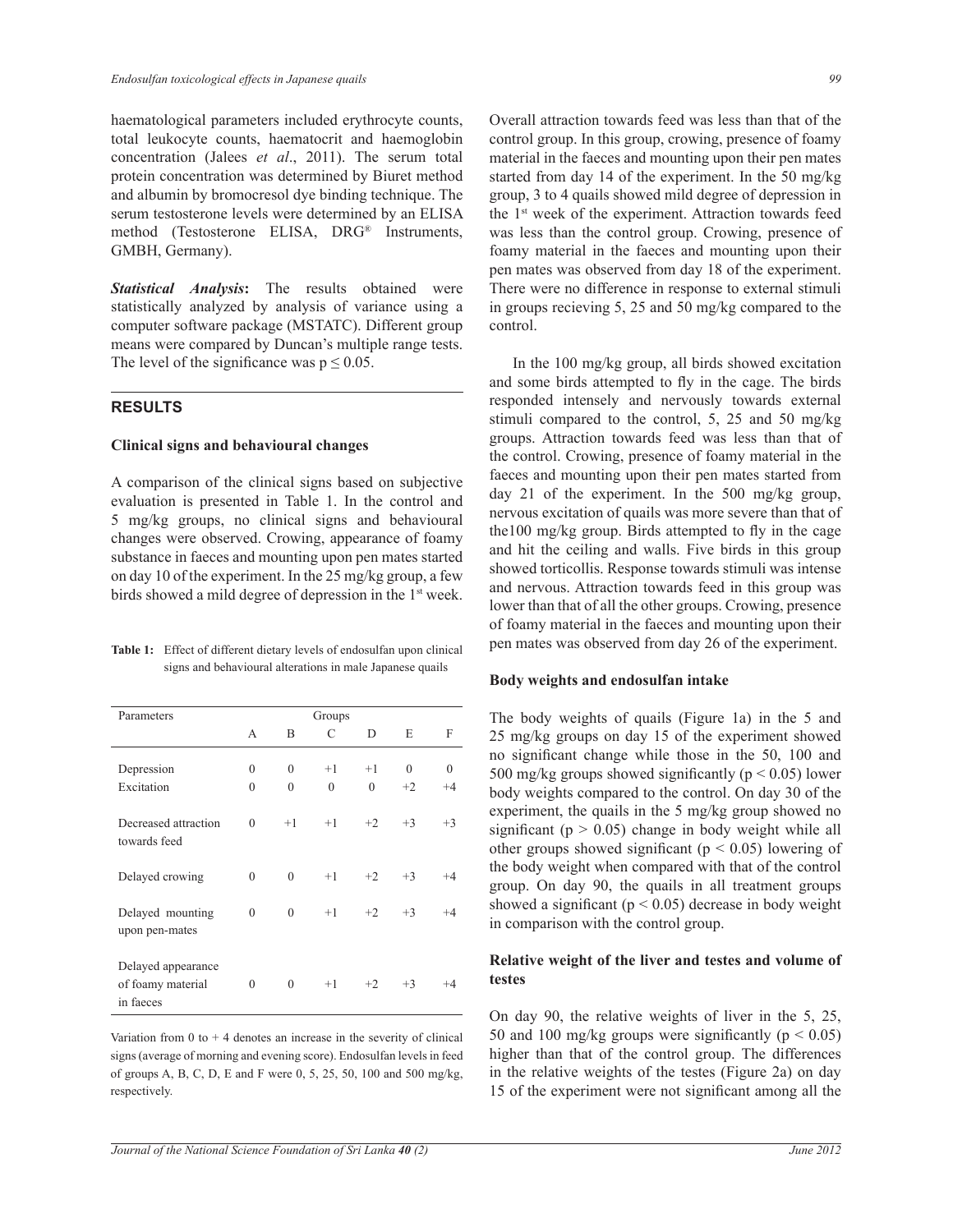haematological parameters included erythrocyte counts, total leukocyte counts, haematocrit and haemoglobin concentration (Jalees *et al*., 2011). The serum total protein concentration was determined by Biuret method and albumin by bromocresol dye binding technique. The serum testosterone levels were determined by an ELISA method (Testosterone ELISA, DRG® Instruments, GMBH, Germany).

*Statistical Analysis***:** The results obtained were statistically analyzed by analysis of variance using a computer software package (MSTATC). Different group means were compared by Duncan's multiple range tests. The level of the significance was  $p \le 0.05$ .

#### **RESULTS**

## **Clinical signs and behavioural changes**

A comparison of the clinical signs based on subjective evaluation is presented in Table 1. In the control and 5 mg/kg groups, no clinical signs and behavioural changes were observed. Crowing, appearance of foamy substance in faeces and mounting upon pen mates started on day 10 of the experiment. In the 25 mg/kg group, a few birds showed a mild degree of depression in the 1<sup>st</sup> week.

**Table 1:** Effect of different dietary levels of endosulfan upon clinical signs and behavioural alterations in male Japanese quails

| Parameters                                           | Groups       |              |          |              |          |         |
|------------------------------------------------------|--------------|--------------|----------|--------------|----------|---------|
|                                                      | А            | B            | C        | D            | E        | F       |
| Depression                                           | $\theta$     | $\theta$     | $+1$     | $+1$         | $\Omega$ | 0       |
| Excitation                                           | $\theta$     | $\theta$     | $\theta$ | $\mathbf{0}$ | $+2$     | $+4$    |
| Decreased attraction<br>towards feed                 | $\theta$     | $+1$         | $+1$     | $+2$         | $+3$     | $+3$    |
| Delayed crowing                                      | $\theta$     | $\theta$     | $+1$     | $+2$         | $+3$     | $^{+4}$ |
| Delayed mounting<br>upon pen-mates                   | $\mathbf{0}$ | $\mathbf{0}$ | $+1$     | $+2$         | $+3$     | $+4$    |
| Delayed appearance<br>of foamy material<br>in faeces | 0            | $\theta$     | $+1$     | $+2$         | $+3$     | $^{+4}$ |

Variation from  $0$  to  $+4$  denotes an increase in the severity of clinical signs (average of morning and evening score). Endosulfan levels in feed of groups A, B, C, D, E and F were 0, 5, 25, 50, 100 and 500 mg/kg, respectively.

Overall attraction towards feed was less than that of the control group. In this group, crowing, presence of foamy material in the faeces and mounting upon their pen mates started from day 14 of the experiment. In the 50 mg/kg group, 3 to 4 quails showed mild degree of depression in the 1<sup>st</sup> week of the experiment. Attraction towards feed was less than the control group. Crowing, presence of foamy material in the faeces and mounting upon their pen mates was observed from day 18 of the experiment. There were no difference in response to external stimuli in groups recieving 5, 25 and 50 mg/kg compared to the control.

 In the 100 mg/kg group, all birds showed excitation and some birds attempted to fly in the cage. The birds responded intensely and nervously towards external stimuli compared to the control, 5, 25 and 50 mg/kg groups. Attraction towards feed was less than that of the control. Crowing, presence of foamy material in the faeces and mounting upon their pen mates started from day 21 of the experiment. In the 500 mg/kg group, nervous excitation of quails was more severe than that of the100 mg/kg group. Birds attempted to fly in the cage and hit the ceiling and walls. Five birds in this group showed torticollis. Response towards stimuli was intense and nervous. Attraction towards feed in this group was lower than that of all the other groups. Crowing, presence of foamy material in the faeces and mounting upon their pen mates was observed from day 26 of the experiment.

#### **Body weights and endosulfan intake**

The body weights of quails (Figure 1a) in the 5 and 25 mg/kg groups on day 15 of the experiment showed no significant change while those in the 50, 100 and 500 mg/kg groups showed significantly ( $p \le 0.05$ ) lower body weights compared to the control. On day 30 of the experiment, the quails in the 5 mg/kg group showed no significant ( $p > 0.05$ ) change in body weight while all other groups showed significant ( $p < 0.05$ ) lowering of the body weight when compared with that of the control group. On day 90, the quails in all treatment groups showed a significant ( $p < 0.05$ ) decrease in body weight in comparison with the control group.

# **Relative weight of the liver and testes and volume of testes**

On day 90, the relative weights of liver in the 5, 25, 50 and 100 mg/kg groups were significantly ( $p < 0.05$ ) higher than that of the control group. The differences in the relative weights of the testes (Figure 2a) on day 15 of the experiment were not significant among all the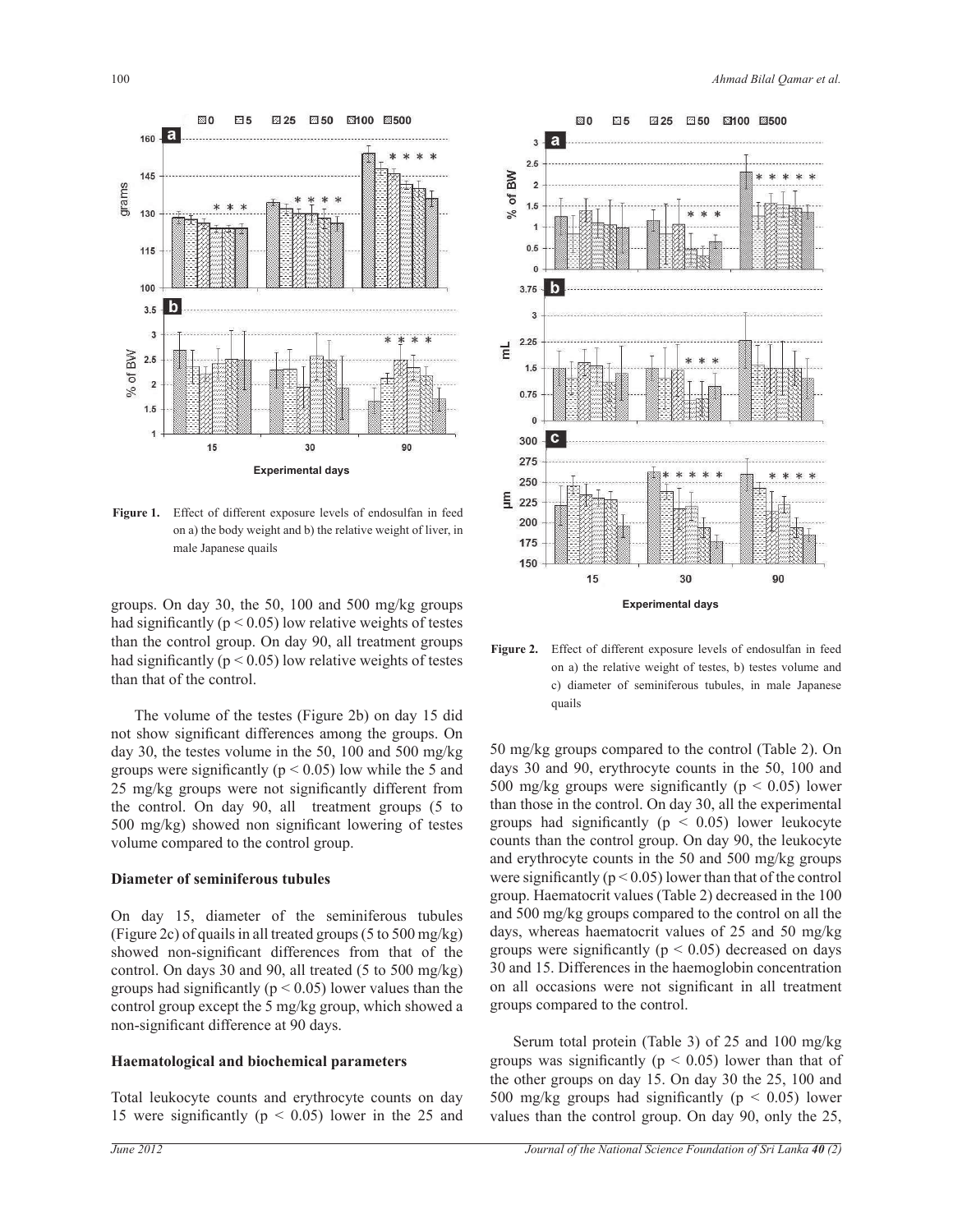

**Figure 1.** Effect of different exposure levels of endosulfan in feed on a) the body weight and b) the relative weight of liver, in male Japanese quails

groups. On day 30, the 50, 100 and 500 mg/kg groups had significantly ( $p < 0.05$ ) low relative weights of testes than the control group. On day 90, all treatment groups had significantly ( $p < 0.05$ ) low relative weights of testes than that of the control.

 The volume of the testes (Figure 2b) on day 15 did not show significant differences among the groups. On day 30, the testes volume in the 50, 100 and 500 mg/kg groups were significantly ( $p < 0.05$ ) low while the 5 and 25 mg/kg groups were not significantly different from the control. On day 90, all treatment groups (5 to 500 mg/kg) showed non significant lowering of testes volume compared to the control group.

#### **Diameter of seminiferous tubules**

On day 15, diameter of the seminiferous tubules (Figure 2c) of quails in all treated groups (5 to 500 mg/kg) showed non-significant differences from that of the control. On days 30 and 90, all treated (5 to 500 mg/kg) groups had significantly ( $p < 0.05$ ) lower values than the control group except the 5 mg/kg group, which showed a non-significant difference at 90 days.

#### **Haematological and biochemical parameters**

Total leukocyte counts and erythrocyte counts on day 15 were significantly ( $p \le 0.05$ ) lower in the 25 and



**Figure 2.** Effect of different exposure levels of endosulfan in feed on a) the relative weight of testes, b) testes volume and c) diameter of seminiferous tubules, in male Japanese quails

50 mg/kg groups compared to the control (Table 2). On days 30 and 90, erythrocyte counts in the 50, 100 and 500 mg/kg groups were significantly ( $p < 0.05$ ) lower than those in the control. On day 30, all the experimental groups had significantly ( $p \leq 0.05$ ) lower leukocyte counts than the control group. On day 90, the leukocyte and erythrocyte counts in the 50 and 500 mg/kg groups were significantly ( $p < 0.05$ ) lower than that of the control group. Haematocrit values (Table 2) decreased in the 100 and 500 mg/kg groups compared to the control on all the days, whereas haematocrit values of 25 and 50 mg/kg groups were significantly ( $p < 0.05$ ) decreased on days 30 and 15. Differences in the haemoglobin concentration on all occasions were not significant in all treatment groups compared to the control.

 Serum total protein (Table 3) of 25 and 100 mg/kg groups was significantly ( $p < 0.05$ ) lower than that of the other groups on day 15. On day 30 the 25, 100 and 500 mg/kg groups had significantly ( $p \le 0.05$ ) lower values than the control group. On day 90, only the 25,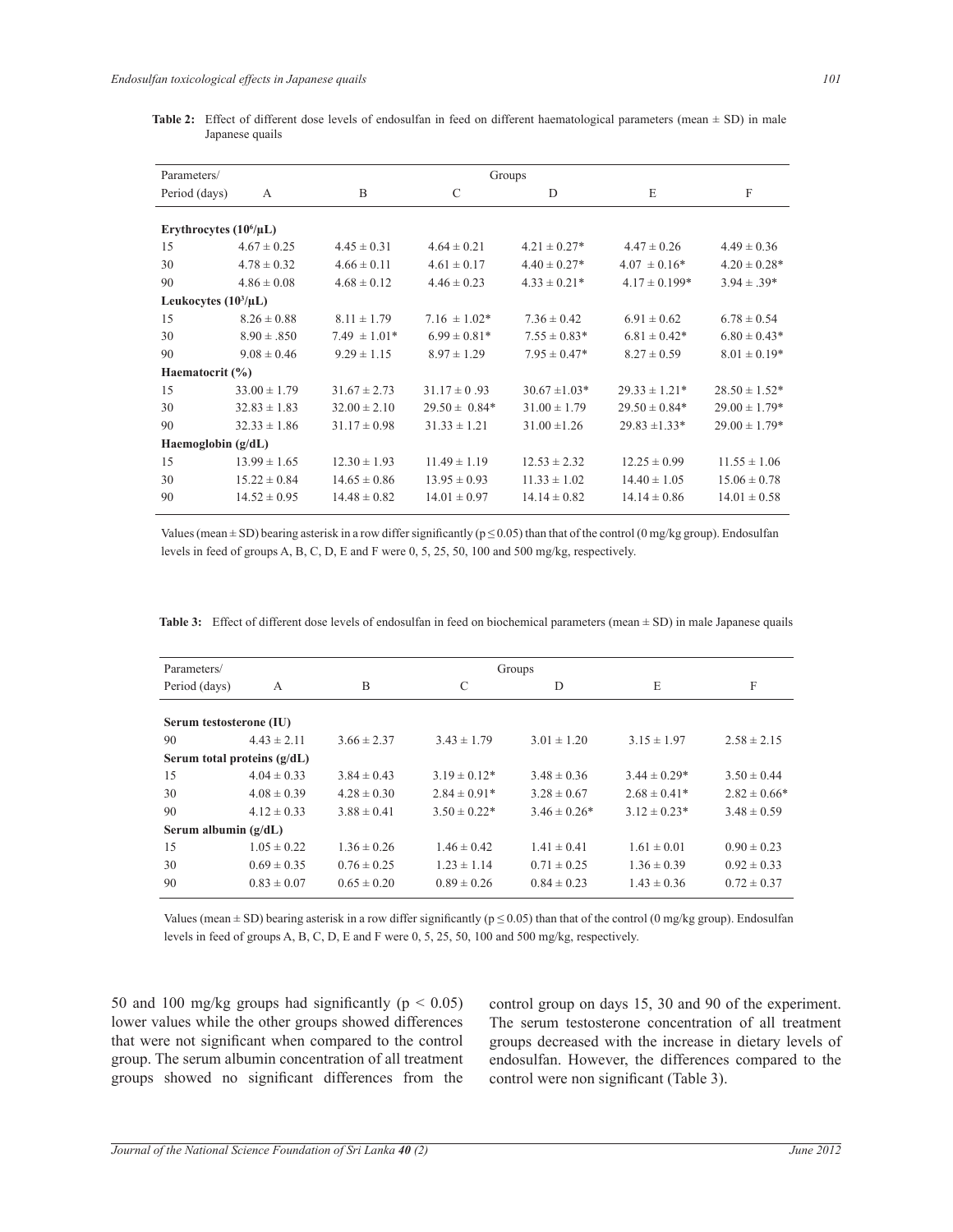Table 2: Effect of different dose levels of endosulfan in feed on different haematological parameters (mean  $\pm$  SD) in male Japanese quails

| Parameters/               | Groups                      |                  |                   |                   |                   |                   |  |
|---------------------------|-----------------------------|------------------|-------------------|-------------------|-------------------|-------------------|--|
| Period (days)             | A                           | B                | $\mathcal{C}$     | D                 | E                 | F                 |  |
|                           |                             |                  |                   |                   |                   |                   |  |
|                           | Erythrocytes $(10^6/\mu L)$ |                  |                   |                   |                   |                   |  |
| 15                        | $4.67 \pm 0.25$             | $4.45 \pm 0.31$  | $4.64 \pm 0.21$   | $4.21 \pm 0.27$ * | $4.47 \pm 0.26$   | $4.49 \pm 0.36$   |  |
| 30                        | $4.78 \pm 0.32$             | $4.66 \pm 0.11$  | $4.61 \pm 0.17$   | $4.40 \pm 0.27$ * | $4.07 \pm 0.16*$  | $4.20 \pm 0.28^*$ |  |
| 90                        | $4.86 \pm 0.08$             | $4.68 \pm 0.12$  | $4.46 \pm 0.23$   | $4.33 \pm 0.21*$  | $4.17 \pm 0.199*$ | $3.94 \pm .39*$   |  |
| Leukocytes $(10^3/\mu L)$ |                             |                  |                   |                   |                   |                   |  |
| 15                        | $8.26 \pm 0.88$             | $8.11 \pm 1.79$  | $7.16 \pm 1.02*$  | $7.36 \pm 0.42$   | $6.91 \pm 0.62$   | $6.78 \pm 0.54$   |  |
| 30                        | $8.90 \pm .850$             | $7.49 \pm 1.01*$ | $6.99 \pm 0.81*$  | $7.55 \pm 0.83*$  | $6.81 \pm 0.42^*$ | $6.80 \pm 0.43*$  |  |
| 90                        | $9.08 \pm 0.46$             | $9.29 \pm 1.15$  | $8.97 \pm 1.29$   | $7.95 \pm 0.47*$  | $8.27 \pm 0.59$   | $8.01 \pm 0.19*$  |  |
| Haematocrit $(\% )$       |                             |                  |                   |                   |                   |                   |  |
| 15                        | $33.00 \pm 1.79$            | $31.67 \pm 2.73$ | $31.17 \pm 0.93$  | $30.67 \pm 1.03*$ | $29.33 \pm 1.21*$ | $28.50 \pm 1.52*$ |  |
| 30                        | $32.83 \pm 1.83$            | $32.00 \pm 2.10$ | $29.50 \pm 0.84*$ | $31.00 \pm 1.79$  | $29.50 \pm 0.84*$ | $29.00 \pm 1.79*$ |  |
| 90                        | $32.33 \pm 1.86$            | $31.17 \pm 0.98$ | $31.33 \pm 1.21$  | $31.00 \pm 1.26$  | $29.83 \pm 1.33*$ | $29.00 \pm 1.79*$ |  |
| Haemoglobin $(g/dL)$      |                             |                  |                   |                   |                   |                   |  |
| 15                        | $13.99 \pm 1.65$            | $12.30 \pm 1.93$ | $11.49 \pm 1.19$  | $12.53 \pm 2.32$  | $12.25 \pm 0.99$  | $11.55 \pm 1.06$  |  |
| 30                        | $15.22 \pm 0.84$            | $14.65 \pm 0.86$ | $13.95 \pm 0.93$  | $11.33 \pm 1.02$  | $14.40 \pm 1.05$  | $15.06 \pm 0.78$  |  |
| 90                        | $14.52 \pm 0.95$            | $14.48 \pm 0.82$ | $14.01 \pm 0.97$  | $14.14 \pm 0.82$  | $14.14 \pm 0.86$  | $14.01 \pm 0.58$  |  |

Values (mean  $\pm$  SD) bearing asterisk in a row differ significantly ( $p \le 0.05$ ) than that of the control (0 mg/kg group). Endosulfan levels in feed of groups A, B, C, D, E and F were 0, 5, 25, 50, 100 and 500 mg/kg, respectively.

| Parameters/                   |                 | Groups          |                   |                   |                  |                  |  |  |
|-------------------------------|-----------------|-----------------|-------------------|-------------------|------------------|------------------|--|--|
| Period (days)                 | A               | B               | C                 | D                 | E                | F                |  |  |
|                               |                 |                 |                   |                   |                  |                  |  |  |
| Serum testosterone (IU)       |                 |                 |                   |                   |                  |                  |  |  |
| 90                            | $4.43 \pm 2.11$ | $3.66 \pm 2.37$ | $3.43 \pm 1.79$   | $3.01 \pm 1.20$   | $3.15 \pm 1.97$  | $2.58 \pm 2.15$  |  |  |
| Serum total proteins $(g/dL)$ |                 |                 |                   |                   |                  |                  |  |  |
| 15                            | $4.04 \pm 0.33$ | $3.84 \pm 0.43$ | $3.19 \pm 0.12^*$ | $3.48 \pm 0.36$   | $3.44 \pm 0.29*$ | $3.50 \pm 0.44$  |  |  |
| 30                            | $4.08 \pm 0.39$ | $4.28 \pm 0.30$ | $2.84 \pm 0.91*$  | $3.28 \pm 0.67$   | $2.68 \pm 0.41*$ | $2.82 \pm 0.66*$ |  |  |
| 90                            | $4.12 \pm 0.33$ | $3.88 \pm 0.41$ | $3.50 \pm 0.22^*$ | $3.46 \pm 0.26^*$ | $3.12 \pm 0.23*$ | $3.48 \pm 0.59$  |  |  |
| Serum albumin $(g/dL)$        |                 |                 |                   |                   |                  |                  |  |  |
| 15                            | $1.05 \pm 0.22$ | $1.36 \pm 0.26$ | $1.46 \pm 0.42$   | $1.41 \pm 0.41$   | $1.61 \pm 0.01$  | $0.90 \pm 0.23$  |  |  |
| 30                            | $0.69 \pm 0.35$ | $0.76 \pm 0.25$ | $1.23 \pm 1.14$   | $0.71 \pm 0.25$   | $1.36 \pm 0.39$  | $0.92 \pm 0.33$  |  |  |
| 90                            | $0.83 \pm 0.07$ | $0.65 \pm 0.20$ | $0.89 \pm 0.26$   | $0.84 \pm 0.23$   | $1.43 \pm 0.36$  | $0.72 \pm 0.37$  |  |  |
|                               |                 |                 |                   |                   |                  |                  |  |  |

**Table 3:** Effect of different dose levels of endosulfan in feed on biochemical parameters (mean ± SD) in male Japanese quails

Values (mean  $\pm$  SD) bearing asterisk in a row differ significantly ( $p \le 0.05$ ) than that of the control (0 mg/kg group). Endosulfan levels in feed of groups A, B, C, D, E and F were 0, 5, 25, 50, 100 and 500 mg/kg, respectively.

50 and 100 mg/kg groups had significantly ( $p < 0.05$ ) lower values while the other groups showed differences that were not significant when compared to the control group. The serum albumin concentration of all treatment groups showed no significant differences from the

control group on days 15, 30 and 90 of the experiment. The serum testosterone concentration of all treatment groups decreased with the increase in dietary levels of endosulfan. However, the differences compared to the control were non significant (Table 3).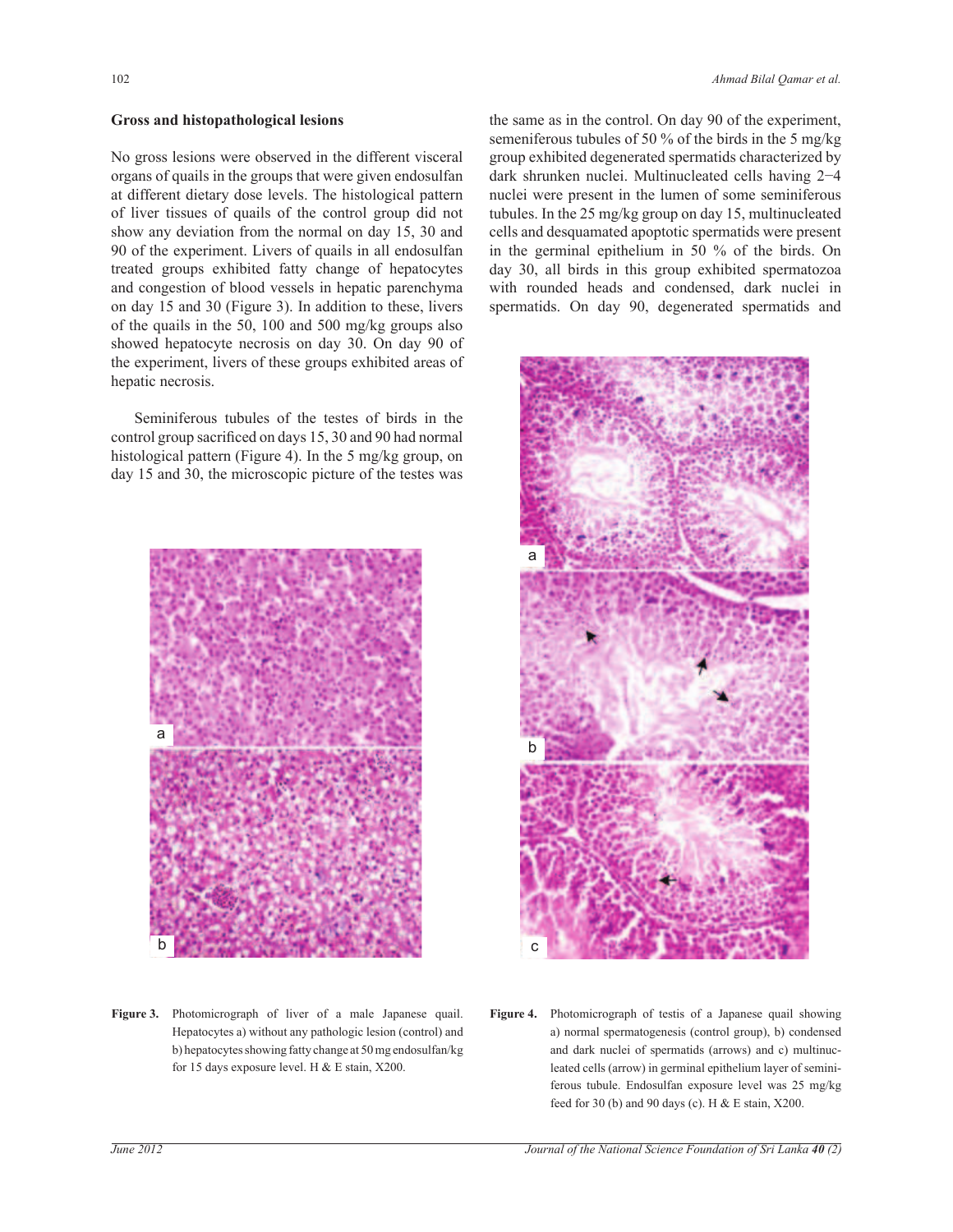## **Gross and histopathological lesions**

No gross lesions were observed in the different visceral organs of quails in the groups that were given endosulfan at different dietary dose levels. The histological pattern of liver tissues of quails of the control group did not show any deviation from the normal on day 15, 30 and 90 of the experiment. Livers of quails in all endosulfan treated groups exhibited fatty change of hepatocytes and congestion of blood vessels in hepatic parenchyma on day 15 and 30 (Figure 3). In addition to these, livers of the quails in the 50, 100 and 500 mg/kg groups also showed hepatocyte necrosis on day 30. On day 90 of the experiment, livers of these groups exhibited areas of hepatic necrosis.

 Seminiferous tubules of the testes of birds in the control group sacrificed on days 15, 30 and 90 had normal histological pattern (Figure 4). In the 5 mg/kg group, on day 15 and 30, the microscopic picture of the testes was



**Figure 3.** Photomicrograph of liver of a male Japanese quail. Hepatocytes a) without any pathologic lesion (control) and b) hepatocytes showing fatty change at 50 mg endosulfan/kg for 15 days exposure level. H & E stain, X200.

the same as in the control. On day 90 of the experiment, semeniferous tubules of 50 % of the birds in the 5 mg/kg group exhibited degenerated spermatids characterized by dark shrunken nuclei. Multinucleated cells having 2−4 nuclei were present in the lumen of some seminiferous tubules. In the 25 mg/kg group on day 15, multinucleated cells and desquamated apoptotic spermatids were present in the germinal epithelium in 50 % of the birds. On day 30, all birds in this group exhibited spermatozoa with rounded heads and condensed, dark nuclei in spermatids. On day 90, degenerated spermatids and



**Figure 4.** Photomicrograph of testis of a Japanese quail showing a) normal spermatogenesis (control group), b) condensed and dark nuclei of spermatids (arrows) and c) multinucleated cells (arrow) in germinal epithelium layer of seminiferous tubule. Endosulfan exposure level was 25 mg/kg feed for 30 (b) and 90 days (c). H  $&$  E stain, X200.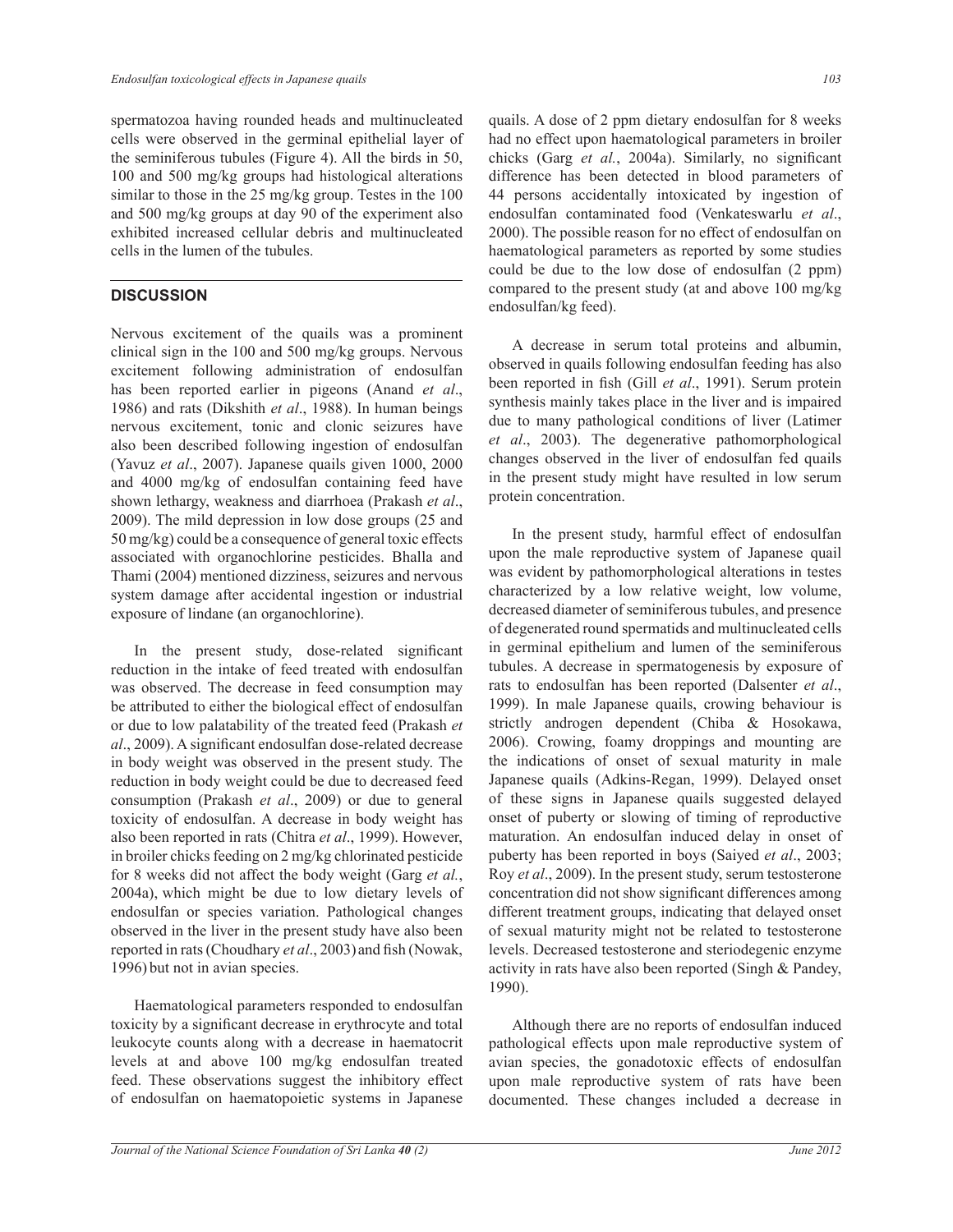spermatozoa having rounded heads and multinucleated cells were observed in the germinal epithelial layer of the seminiferous tubules (Figure 4). All the birds in 50, 100 and 500 mg/kg groups had histological alterations similar to those in the 25 mg/kg group. Testes in the 100 and 500 mg/kg groups at day 90 of the experiment also exhibited increased cellular debris and multinucleated cells in the lumen of the tubules.

# **DISCUSSION**

Nervous excitement of the quails was a prominent clinical sign in the 100 and 500 mg/kg groups. Nervous excitement following administration of endosulfan has been reported earlier in pigeons (Anand *et al*., 1986) and rats (Dikshith *et al*., 1988). In human beings nervous excitement, tonic and clonic seizures have also been described following ingestion of endosulfan (Yavuz *et al*., 2007). Japanese quails given 1000, 2000 and 4000 mg/kg of endosulfan containing feed have shown lethargy, weakness and diarrhoea (Prakash *et al*., 2009). The mild depression in low dose groups (25 and 50 mg/kg) could be a consequence of general toxic effects associated with organochlorine pesticides. Bhalla and Thami (2004) mentioned dizziness, seizures and nervous system damage after accidental ingestion or industrial exposure of lindane (an organochlorine).

 In the present study, dose-related significant reduction in the intake of feed treated with endosulfan was observed. The decrease in feed consumption may be attributed to either the biological effect of endosulfan or due to low palatability of the treated feed (Prakash *et al*., 2009). A significant endosulfan dose-related decrease in body weight was observed in the present study. The reduction in body weight could be due to decreased feed consumption (Prakash *et al*., 2009) or due to general toxicity of endosulfan. A decrease in body weight has also been reported in rats (Chitra *et al*., 1999). However, in broiler chicks feeding on 2 mg/kg chlorinated pesticide for 8 weeks did not affect the body weight (Garg *et al.*, 2004a), which might be due to low dietary levels of endosulfan or species variation. Pathological changes observed in the liver in the present study have also been reported in rats (Choudhary *et al*., 2003)and fish (Nowak, 1996) but not in avian species.

 Haematological parameters responded to endosulfan toxicity by a significant decrease in erythrocyte and total leukocyte counts along with a decrease in haematocrit levels at and above 100 mg/kg endosulfan treated feed. These observations suggest the inhibitory effect of endosulfan on haematopoietic systems in Japanese quails. A dose of 2 ppm dietary endosulfan for 8 weeks had no effect upon haematological parameters in broiler chicks (Garg *et al.*, 2004a). Similarly, no significant difference has been detected in blood parameters of 44 persons accidentally intoxicated by ingestion of endosulfan contaminated food (Venkateswarlu *et al*., 2000). The possible reason for no effect of endosulfan on haematological parameters as reported by some studies could be due to the low dose of endosulfan (2 ppm) compared to the present study (at and above 100 mg/kg endosulfan/kg feed).

 A decrease in serum total proteins and albumin, observed in quails following endosulfan feeding has also been reported in fish (Gill *et al*., 1991). Serum protein synthesis mainly takes place in the liver and is impaired due to many pathological conditions of liver (Latimer *et al*., 2003). The degenerative pathomorphological changes observed in the liver of endosulfan fed quails in the present study might have resulted in low serum protein concentration.

 In the present study, harmful effect of endosulfan upon the male reproductive system of Japanese quail was evident by pathomorphological alterations in testes characterized by a low relative weight, low volume, decreased diameter of seminiferous tubules, and presence of degenerated round spermatids and multinucleated cells in germinal epithelium and lumen of the seminiferous tubules. A decrease in spermatogenesis by exposure of rats to endosulfan has been reported (Dalsenter *et al*., 1999). In male Japanese quails, crowing behaviour is strictly androgen dependent (Chiba & Hosokawa, 2006). Crowing, foamy droppings and mounting are the indications of onset of sexual maturity in male Japanese quails (Adkins-Regan, 1999). Delayed onset of these signs in Japanese quails suggested delayed onset of puberty or slowing of timing of reproductive maturation. An endosulfan induced delay in onset of puberty has been reported in boys (Saiyed *et al*., 2003; Roy *et al*., 2009). In the present study, serum testosterone concentration did not show significant differences among different treatment groups, indicating that delayed onset of sexual maturity might not be related to testosterone levels. Decreased testosterone and steriodegenic enzyme activity in rats have also been reported (Singh & Pandey, 1990).

 Although there are no reports of endosulfan induced pathological effects upon male reproductive system of avian species, the gonadotoxic effects of endosulfan upon male reproductive system of rats have been documented. These changes included a decrease in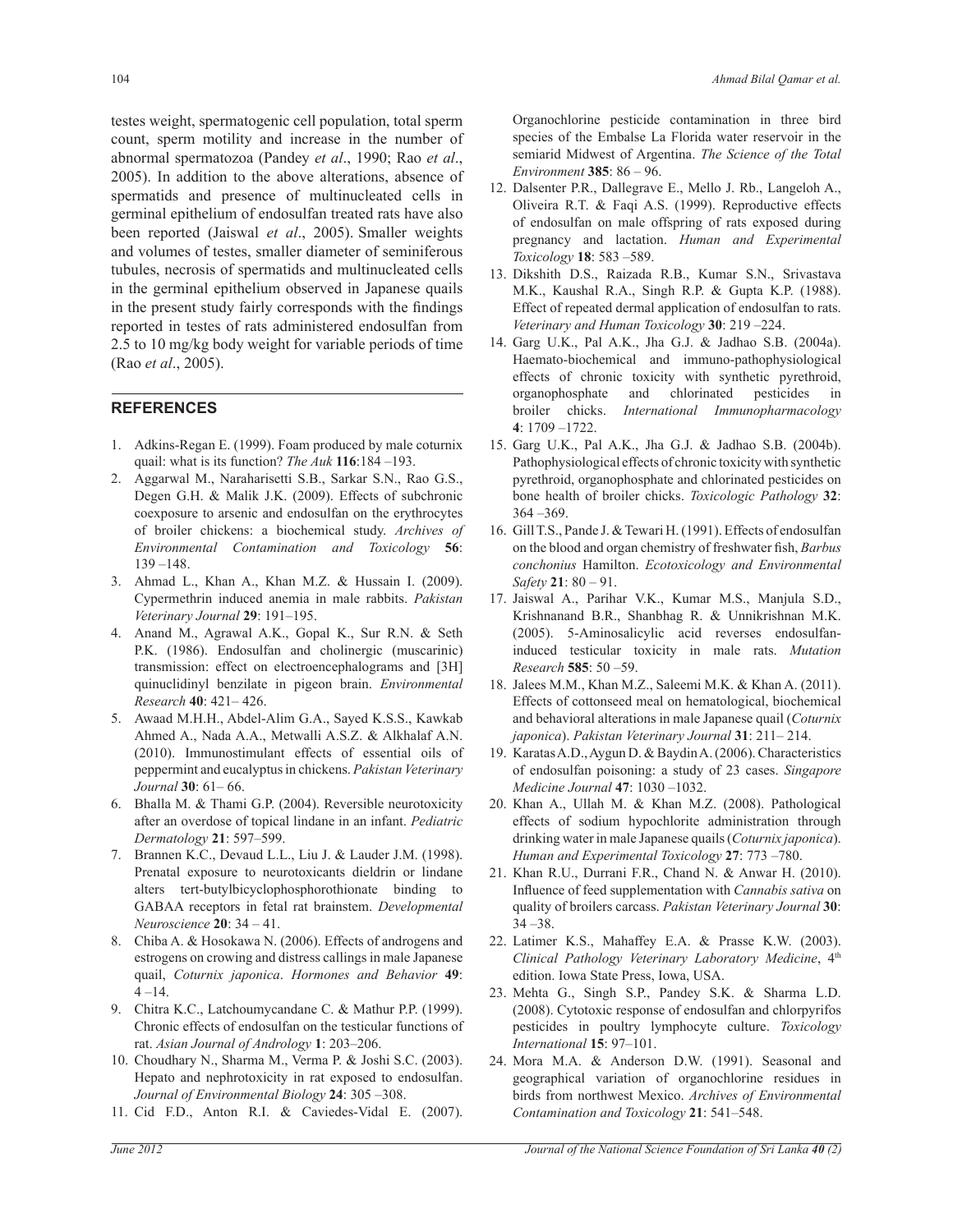testes weight, spermatogenic cell population, total sperm count, sperm motility and increase in the number of abnormal spermatozoa (Pandey *et al*., 1990; Rao *et al*., 2005). In addition to the above alterations, absence of spermatids and presence of multinucleated cells in germinal epithelium of endosulfan treated rats have also been reported (Jaiswal *et al*., 2005). Smaller weights and volumes of testes, smaller diameter of seminiferous tubules, necrosis of spermatids and multinucleated cells in the germinal epithelium observed in Japanese quails in the present study fairly corresponds with the findings reported in testes of rats administered endosulfan from 2.5 to 10 mg/kg body weight for variable periods of time (Rao *et al*., 2005).

# **REFERENCES**

- 1. Adkins-Regan E. (1999). Foam produced by male coturnix quail: what is its function? *The Auk* **116**:184 –193.
- 2. Aggarwal M., Naraharisetti S.B., Sarkar S.N., Rao G.S., Degen G.H. & Malik J.K. (2009). Effects of subchronic coexposure to arsenic and endosulfan on the erythrocytes of broiler chickens: a biochemical study. *Archives of Environmental Contamination and Toxicology* **56**: 139 –148.
- 3. Ahmad L., Khan A., Khan M.Z. & Hussain I. (2009). Cypermethrin induced anemia in male rabbits. *Pakistan Veterinary Journal* **29**: 191–195.
- 4. Anand M., Agrawal A.K., Gopal K., Sur R.N. & Seth P.K. (1986). Endosulfan and cholinergic (muscarinic) transmission: effect on electroencephalograms and [3H] quinuclidinyl benzilate in pigeon brain. *Environmental Research* **40**: 421– 426.
- 5. Awaad M.H.H., Abdel-Alim G.A., Sayed K.S.S., Kawkab Ahmed A., Nada A.A., Metwalli A.S.Z. & Alkhalaf A.N. (2010). Immunostimulant effects of essential oils of peppermint and eucalyptus in chickens. *Pakistan Veterinary Journal* **30**: 61– 66.
- 6. Bhalla M. & Thami G.P. (2004). Reversible neurotoxicity after an overdose of topical lindane in an infant. *Pediatric Dermatology* **21**: 597–599.
- 7. Brannen K.C., Devaud L.L., Liu J. & Lauder J.M. (1998). Prenatal exposure to neurotoxicants dieldrin or lindane alters tert-butylbicyclophosphorothionate binding to GABAA receptors in fetal rat brainstem. *Developmental Neuroscience* **20**: 34 – 41.
- 8. Chiba A. & Hosokawa N. (2006). Effects of androgens and estrogens on crowing and distress callings in male Japanese quail, *Coturnix japonica*. *Hormones and Behavior* **49**:  $4 - 14.$
- 9. Chitra K.C., Latchoumycandane C. & Mathur P.P. (1999). Chronic effects of endosulfan on the testicular functions of rat. *Asian Journal of Andrology* **1**: 203–206.
- 10. Choudhary N., Sharma M., Verma P. & Joshi S.C. (2003). Hepato and nephrotoxicity in rat exposed to endosulfan. *Journal of Environmental Biology* **24**: 305 –308.
- 11. Cid F.D., Anton R.I. & Caviedes-Vidal E. (2007).

Organochlorine pesticide contamination in three bird species of the Embalse La Florida water reservoir in the semiarid Midwest of Argentina. *The Science of the Total Environment* **385**: 86 – 96.

- 12. Dalsenter P.R., Dallegrave E., Mello J. Rb., Langeloh A., Oliveira R.T. & Faqi A.S. (1999). Reproductive effects of endosulfan on male offspring of rats exposed during pregnancy and lactation. *Human and Experimental Toxicology* **18**: 583 –589.
- 13. Dikshith D.S., Raizada R.B., Kumar S.N., Srivastava M.K., Kaushal R.A., Singh R.P. & Gupta K.P. (1988). Effect of repeated dermal application of endosulfan to rats. *Veterinary and Human Toxicology* **30**: 219 –224.
- 14. Garg U.K., Pal A.K., Jha G.J. & Jadhao S.B. (2004a). Haemato-biochemical and immuno-pathophysiological effects of chronic toxicity with synthetic pyrethroid, organophosphate and chlorinated pesticides in broiler chicks. *International Immunopharmacology* **4**: 1709 –1722.
- 15. Garg U.K., Pal A.K., Jha G.J. & Jadhao S.B. (2004b). Pathophysiological effects of chronic toxicity with synthetic pyrethroid, organophosphate and chlorinated pesticides on bone health of broiler chicks. *Toxicologic Pathology* **32**: 364 –369.
- 16. Gill T.S., Pande J. & Tewari H. (1991). Effects of endosulfan on the blood and organ chemistry of freshwater fish, *Barbus conchonius* Hamilton. *Ecotoxicology and Environmental Safety* **21**: 80 – 91.
- 17. Jaiswal A., Parihar V.K., Kumar M.S., Manjula S.D., Krishnanand B.R., Shanbhag R. & Unnikrishnan M.K. (2005). 5-Aminosalicylic acid reverses endosulfaninduced testicular toxicity in male rats. *Mutation Research* **585**: 50 –59.
- 18. Jalees M.M., Khan M.Z., Saleemi M.K. & Khan A. (2011). Effects of cottonseed meal on hematological, biochemical and behavioral alterations in male Japanese quail (*Coturnix japonica*). *Pakistan Veterinary Journal* **31**: 211*–* 214.
- 19. Karatas A.D., Aygun D. & Baydin A. (2006). Characteristics of endosulfan poisoning: a study of 23 cases. *Singapore Medicine Journal* **47**: 1030 –1032.
- 20. Khan A., Ullah M. & Khan M.Z. (2008). Pathological effects of sodium hypochlorite administration through drinking water in male Japanese quails (*Coturnix japonica*). *Human and Experimental Toxicology* **27**: 773 –780.
- 21. Khan R.U., Durrani F.R., Chand N. & Anwar H. (2010). Influence of feed supplementation with *Cannabis sativa* on quality of broilers carcass. *Pakistan Veterinary Journal* **30**: 34 –38.
- 22. Latimer K.S., Mahaffey E.A. & Prasse K.W. (2003). *Clinical Pathology Veterinary Laboratory Medicine*, 4th edition. Iowa State Press, Iowa, USA.
- 23. Mehta G., Singh S.P., Pandey S.K. & Sharma L.D. (2008). Cytotoxic response of endosulfan and chlorpyrifos pesticides in poultry lymphocyte culture. *Toxicology International* **15**: 97–101.
- 24. Mora M.A. & Anderson D.W. (1991). Seasonal and geographical variation of organochlorine residues in birds from northwest Mexico. *Archives of Environmental Contamination and Toxicology* **21**: 541–548.